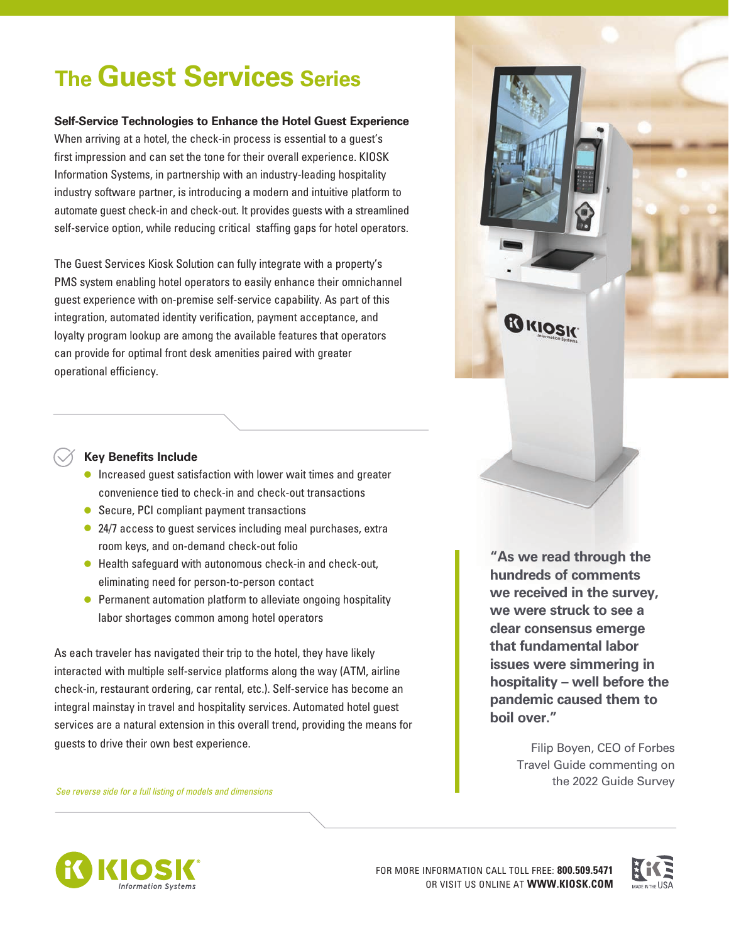# **The Guest Services Series**

#### **Self-Service Technologies to Enhance the Hotel Guest Experience**

When arriving at a hotel, the check-in process is essential to a guest's first impression and can set the tone for their overall experience. KIOSK Information Systems, in partnership with an industry-leading hospitality industry software partner, is introducing a modern and intuitive platform to automate guest check-in and check-out. It provides guests with a streamlined self-service option, while reducing critical staffing gaps for hotel operators.

The Guest Services Kiosk Solution can fully integrate with a property's PMS system enabling hotel operators to easily enhance their omnichannel guest experience with on-premise self-service capability. As part of this integration, automated identity verification, payment acceptance, and loyalty program lookup are among the available features that operators can provide for optimal front desk amenities paired with greater operational efficiency.



#### **Key Benefits Include**

- Increased guest satisfaction with lower wait times and greater convenience tied to check-in and check-out transactions
- Secure, PCI compliant payment transactions
- 24/7 access to quest services including meal purchases, extra room keys, and on-demand check-out folio
- Health safeguard with autonomous check-in and check-out, eliminating need for person-to-person contact
- Permanent automation platform to alleviate ongoing hospitality labor shortages common among hotel operators

As each traveler has navigated their trip to the hotel, they have likely interacted with multiple self-service platforms along the way (ATM, airline check-in, restaurant ordering, car rental, etc.). Self-service has become an integral mainstay in travel and hospitality services. Automated hotel guest services are a natural extension in this overall trend, providing the means for guests to drive their own best experience.

*See reverse side for a full listing of models and dimensions* 

**"As we read through the hundreds of comments we received in the survey, we were struck to see a clear consensus emerge that fundamental labor issues were simmering in hospitality – well before the pandemic caused them to boil over."**

> Filip Boyen, CEO of Forbes Travel Guide commenting on the 2022 Guide Survey



FOR MORE INFORMATION CALL TOLL FREE: **800.509.5471** OR VISIT US ONLINE AT **WWW.KIOSK.COM**